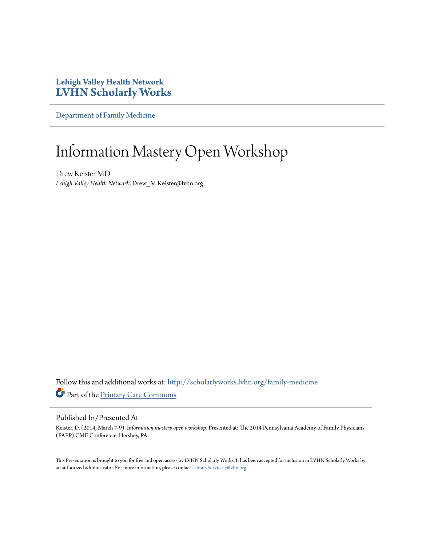## **Lehigh Valley Health Network [LVHN Scholarly Works](http://scholarlyworks.lvhn.org?utm_source=scholarlyworks.lvhn.org%2Ffamily-medicine%2F144&utm_medium=PDF&utm_campaign=PDFCoverPages)**

[Department of Family Medicine](http://scholarlyworks.lvhn.org/family-medicine?utm_source=scholarlyworks.lvhn.org%2Ffamily-medicine%2F144&utm_medium=PDF&utm_campaign=PDFCoverPages)

## Information Mastery Open Workshop

Drew Keister MD *Lehigh Valley Health Network*, Drew\_M.Keister@lvhn.org

Follow this and additional works at: [http://scholarlyworks.lvhn.org/family-medicine](http://scholarlyworks.lvhn.org/family-medicine?utm_source=scholarlyworks.lvhn.org%2Ffamily-medicine%2F144&utm_medium=PDF&utm_campaign=PDFCoverPages) Part of the [Primary Care Commons](http://network.bepress.com/hgg/discipline/1092?utm_source=scholarlyworks.lvhn.org%2Ffamily-medicine%2F144&utm_medium=PDF&utm_campaign=PDFCoverPages)

## Published In/Presented At

Keister, D. (2014, March 7-9). I*nformation mastery open workshop*. Presented at: The 2014 Pennsylvania Academy of Family Physicians (PAFP) CME Conference, Hershey, PA.

This Presentation is brought to you for free and open access by LVHN Scholarly Works. It has been accepted for inclusion in LVHN Scholarly Works by an authorized administrator. For more information, please contact [LibraryServices@lvhn.org](mailto:LibraryServices@lvhn.org).